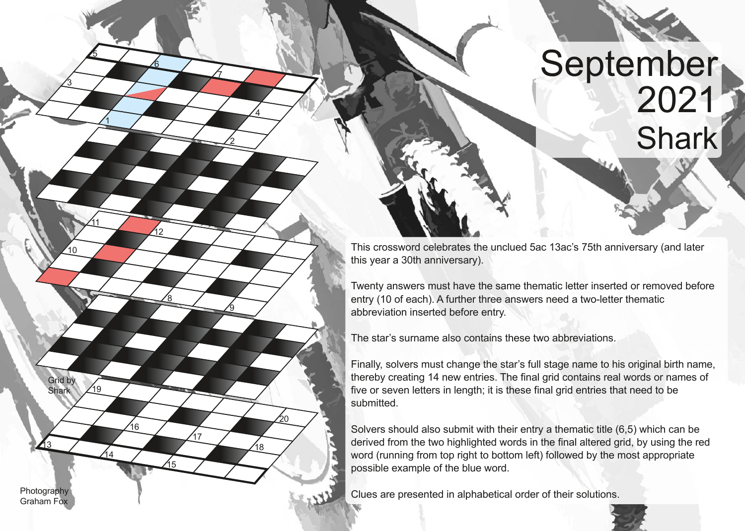

This crossword celebrates the unclued 5ac 13ac's 75th anniversary (and later this year a 30th anniversary).

Twenty answers must have the same thematic letter inserted or removed before entry (10 of each). A further three answers need a two-letter thematic abbreviation inserted before entry.

The star's surname also contains these two abbreviations.

1

6

<u>8</u>

13 18

 $\underline{15}$ 

17

16

12

5

3

10

11

19

<u>14</u>

Grid by **Shark** 

Graham Fox

2

9

20

4

7

Finally, solvers must change the star's full stage name to his original birth name, thereby creating 14 new entries. The final grid contains real words or names of five or seven letters in length; it is these final grid entries that need to be submitted.

Solvers should also submit with their entry a thematic title (6,5) which can be derived from the two highlighted words in the final altered grid, by using the red word (running from top right to bottom left) followed by the most appropriate possible example of the blue word.

Photography Photography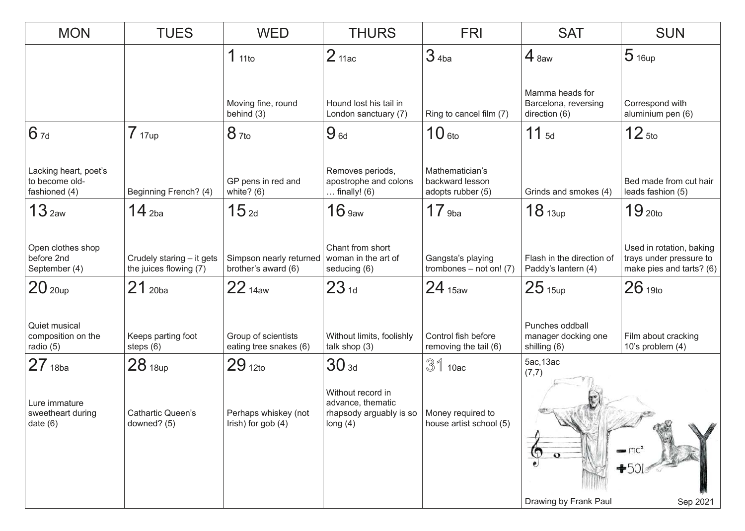| <b>MON</b>                                               | <b>TUES</b>                                         | <b>WED</b>                                     | <b>THURS</b>                                                                    | <b>FRI</b>                                              | <b>SAT</b>                                               | <b>SUN</b>                                                                      |
|----------------------------------------------------------|-----------------------------------------------------|------------------------------------------------|---------------------------------------------------------------------------------|---------------------------------------------------------|----------------------------------------------------------|---------------------------------------------------------------------------------|
|                                                          |                                                     | 1 <sub>11to</sub>                              | 2 <sub>11ac</sub>                                                               | 34ba                                                    | $4$ 8aw                                                  | 5 <sub>16up</sub>                                                               |
|                                                          |                                                     | Moving fine, round<br>behind (3)               | Hound lost his tail in<br>London sanctuary (7)                                  | Ring to cancel film (7)                                 | Mamma heads for<br>Barcelona, reversing<br>direction (6) | Correspond with<br>aluminium pen (6)                                            |
| 6 7d                                                     | 7 <sub>17up</sub>                                   | 8 <sub>7to</sub>                               | $9_{6d}$                                                                        | 10 <sub>6to</sub>                                       | $11_{5d}$                                                | 12 <sub>5to</sub>                                                               |
| Lacking heart, poet's<br>to become old-<br>fashioned (4) | Beginning French? (4)                               | GP pens in red and<br>white? $(6)$             | Removes periods,<br>apostrophe and colons<br>finally! $(6)$                     | Mathematician's<br>backward lesson<br>adopts rubber (5) | Grinds and smokes (4)                                    | Bed made from cut hair<br>leads fashion (5)                                     |
| 13 <sub>2aw</sub>                                        | $14$ <sub>2ba</sub>                                 | 15 <sub>2d</sub>                               | 16 <sub>9aw</sub>                                                               | $17$ 9ba                                                | 18 <sub>13up</sub>                                       | 19 <sub>20to</sub>                                                              |
| Open clothes shop<br>before 2nd<br>September (4)         | Crudely staring - it gets<br>the juices flowing (7) | Simpson nearly returned<br>brother's award (6) | Chant from short<br>woman in the art of<br>seducing (6)                         | Gangsta's playing<br>trombones $-$ not on! (7)          | Flash in the direction of<br>Paddy's lantern (4)         | Used in rotation, baking<br>trays under pressure to<br>make pies and tarts? (6) |
| $20$ 20up                                                | $21$ 20ba                                           | $22_{14}$ aw                                   | 23 <sub>1d</sub>                                                                | 24 <sub>15aw</sub>                                      | 25 <sub>15up</sub>                                       | 26 <sub>19to</sub>                                                              |
| Quiet musical<br>composition on the<br>radio $(5)$       | Keeps parting foot<br>steps $(6)$                   | Group of scientists<br>eating tree snakes (6)  | Without limits, foolishly<br>talk shop (3)                                      | Control fish before<br>removing the tail (6)            | Punches oddball<br>manager docking one<br>shilling (6)   | Film about cracking<br>10's problem $(4)$                                       |
| $27$ 18ba                                                | 28 <sub>18up</sub>                                  | $29_{120}$                                     | 30 <sub>3d</sub>                                                                | $31$ 10ac                                               | 5ac, 13ac<br>(7,7)                                       |                                                                                 |
| Lure immature<br>sweetheart during<br>date $(6)$         | Cathartic Queen's<br>downed? (5)                    | Perhaps whiskey (not<br>Irish) for gob (4)     | Without record in<br>advance, thematic<br>rhapsody arguably is so<br>long $(4)$ | Money required to<br>house artist school (5)            | mc <sup>2</sup><br>$\bf \Omega$<br>$+501$                |                                                                                 |
|                                                          |                                                     |                                                |                                                                                 |                                                         | Drawing by Frank Paul                                    | Sep 2021                                                                        |